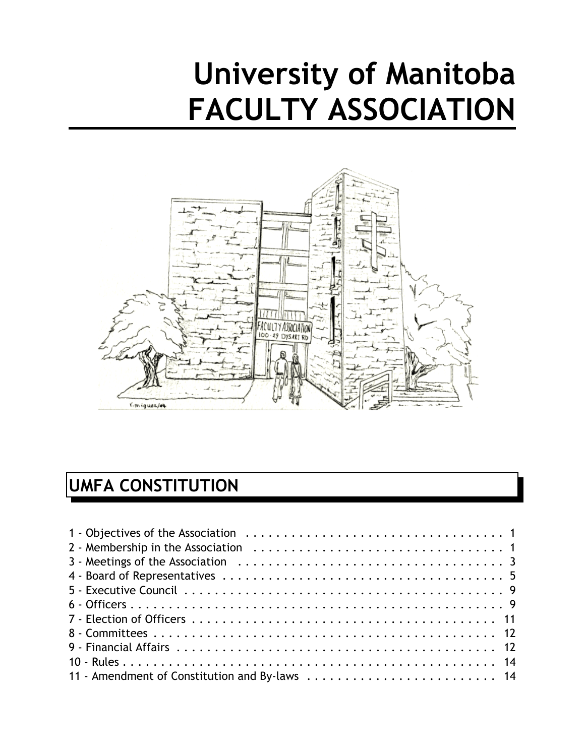# **University of Manitoba FACULTY ASSOCIATION**



# **UMFA CONSTITUTION**

| 11 - Amendment of Constitution and By-laws  14 |
|------------------------------------------------|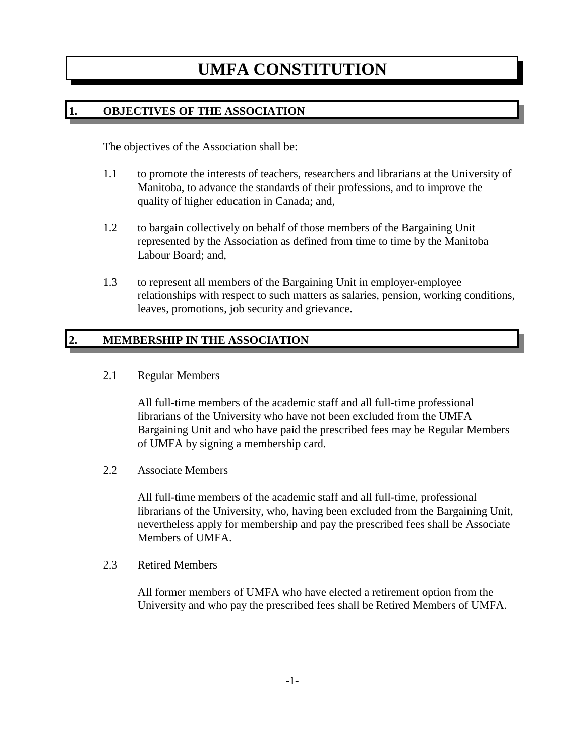# **UMFA CONSTITUTION**

# **1. OBJECTIVES OF THE ASSOCIATION**

The objectives of the Association shall be:

- 1.1 to promote the interests of teachers, researchers and librarians at the University of Manitoba, to advance the standards of their professions, and to improve the quality of higher education in Canada; and,
- 1.2 to bargain collectively on behalf of those members of the Bargaining Unit represented by the Association as defined from time to time by the Manitoba Labour Board; and,
- 1.3 to represent all members of the Bargaining Unit in employer-employee relationships with respect to such matters as salaries, pension, working conditions, leaves, promotions, job security and grievance.

# **2. MEMBERSHIP IN THE ASSOCIATION**

2.1 Regular Members

All full-time members of the academic staff and all full-time professional librarians of the University who have not been excluded from the UMFA Bargaining Unit and who have paid the prescribed fees may be Regular Members of UMFA by signing a membership card.

2.2 Associate Members

All full-time members of the academic staff and all full-time, professional librarians of the University, who, having been excluded from the Bargaining Unit, nevertheless apply for membership and pay the prescribed fees shall be Associate Members of UMFA.

2.3 Retired Members

All former members of UMFA who have elected a retirement option from the University and who pay the prescribed fees shall be Retired Members of UMFA.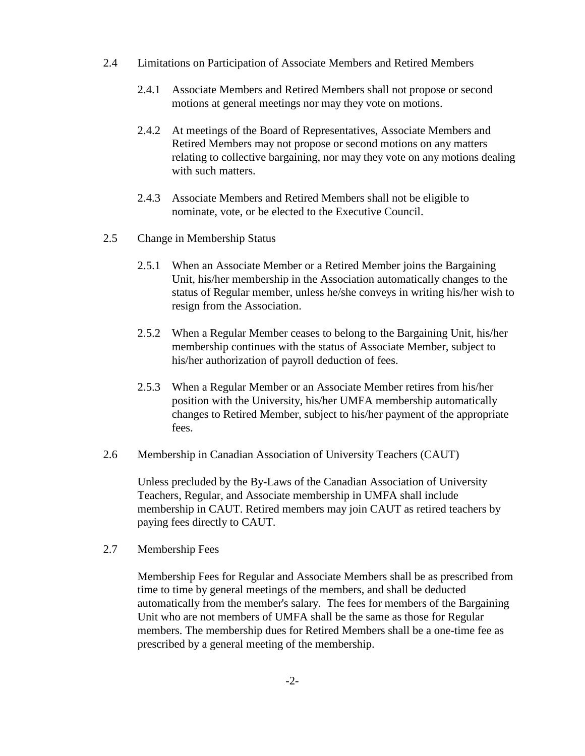- 2.4 Limitations on Participation of Associate Members and Retired Members
	- 2.4.1 Associate Members and Retired Members shall not propose or second motions at general meetings nor may they vote on motions.
	- 2.4.2 At meetings of the Board of Representatives, Associate Members and Retired Members may not propose or second motions on any matters relating to collective bargaining, nor may they vote on any motions dealing with such matters.
	- 2.4.3 Associate Members and Retired Members shall not be eligible to nominate, vote, or be elected to the Executive Council.
- 2.5 Change in Membership Status
	- 2.5.1 When an Associate Member or a Retired Member joins the Bargaining Unit, his/her membership in the Association automatically changes to the status of Regular member, unless he/she conveys in writing his/her wish to resign from the Association.
	- 2.5.2 When a Regular Member ceases to belong to the Bargaining Unit, his/her membership continues with the status of Associate Member, subject to his/her authorization of payroll deduction of fees.
	- 2.5.3 When a Regular Member or an Associate Member retires from his/her position with the University, his/her UMFA membership automatically changes to Retired Member, subject to his/her payment of the appropriate fees.
- 2.6 Membership in Canadian Association of University Teachers (CAUT)

Unless precluded by the By-Laws of the Canadian Association of University Teachers, Regular, and Associate membership in UMFA shall include membership in CAUT. Retired members may join CAUT as retired teachers by paying fees directly to CAUT.

2.7 Membership Fees

Membership Fees for Regular and Associate Members shall be as prescribed from time to time by general meetings of the members, and shall be deducted automatically from the member's salary. The fees for members of the Bargaining Unit who are not members of UMFA shall be the same as those for Regular members. The membership dues for Retired Members shall be a one-time fee as prescribed by a general meeting of the membership.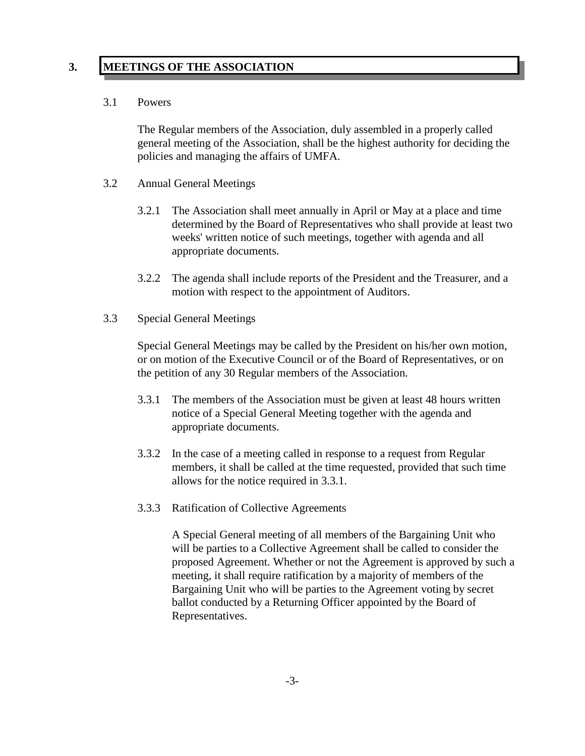# **3. MEETINGS OF THE ASSOCIATION**

#### 3.1 Powers

The Regular members of the Association, duly assembled in a properly called general meeting of the Association, shall be the highest authority for deciding the policies and managing the affairs of UMFA.

- 3.2 Annual General Meetings
	- 3.2.1 The Association shall meet annually in April or May at a place and time determined by the Board of Representatives who shall provide at least two weeks' written notice of such meetings, together with agenda and all appropriate documents.
	- 3.2.2 The agenda shall include reports of the President and the Treasurer, and a motion with respect to the appointment of Auditors.
- 3.3 Special General Meetings

Special General Meetings may be called by the President on his/her own motion, or on motion of the Executive Council or of the Board of Representatives, or on the petition of any 30 Regular members of the Association.

- 3.3.1 The members of the Association must be given at least 48 hours written notice of a Special General Meeting together with the agenda and appropriate documents.
- 3.3.2 In the case of a meeting called in response to a request from Regular members, it shall be called at the time requested, provided that such time allows for the notice required in 3.3.1.
- 3.3.3 Ratification of Collective Agreements

A Special General meeting of all members of the Bargaining Unit who will be parties to a Collective Agreement shall be called to consider the proposed Agreement. Whether or not the Agreement is approved by such a meeting, it shall require ratification by a majority of members of the Bargaining Unit who will be parties to the Agreement voting by secret ballot conducted by a Returning Officer appointed by the Board of Representatives.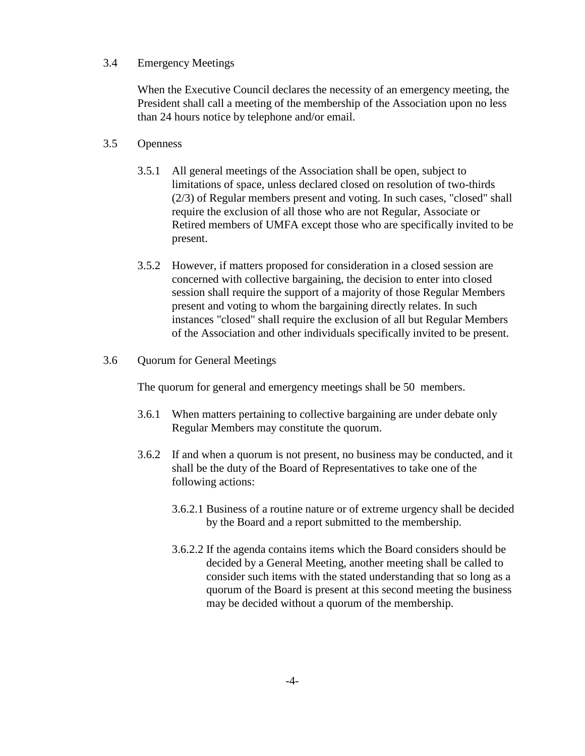#### 3.4 Emergency Meetings

When the Executive Council declares the necessity of an emergency meeting, the President shall call a meeting of the membership of the Association upon no less than 24 hours notice by telephone and/or email.

#### 3.5 Openness

- 3.5.1 All general meetings of the Association shall be open, subject to limitations of space, unless declared closed on resolution of two-thirds (2/3) of Regular members present and voting. In such cases, "closed" shall require the exclusion of all those who are not Regular, Associate or Retired members of UMFA except those who are specifically invited to be present.
- 3.5.2 However, if matters proposed for consideration in a closed session are concerned with collective bargaining, the decision to enter into closed session shall require the support of a majority of those Regular Members present and voting to whom the bargaining directly relates. In such instances "closed" shall require the exclusion of all but Regular Members of the Association and other individuals specifically invited to be present.

#### 3.6 Quorum for General Meetings

The quorum for general and emergency meetings shall be 50 members.

- 3.6.1 When matters pertaining to collective bargaining are under debate only Regular Members may constitute the quorum.
- 3.6.2 If and when a quorum is not present, no business may be conducted, and it shall be the duty of the Board of Representatives to take one of the following actions:
	- 3.6.2.1 Business of a routine nature or of extreme urgency shall be decided by the Board and a report submitted to the membership.
	- 3.6.2.2 If the agenda contains items which the Board considers should be decided by a General Meeting, another meeting shall be called to consider such items with the stated understanding that so long as a quorum of the Board is present at this second meeting the business may be decided without a quorum of the membership.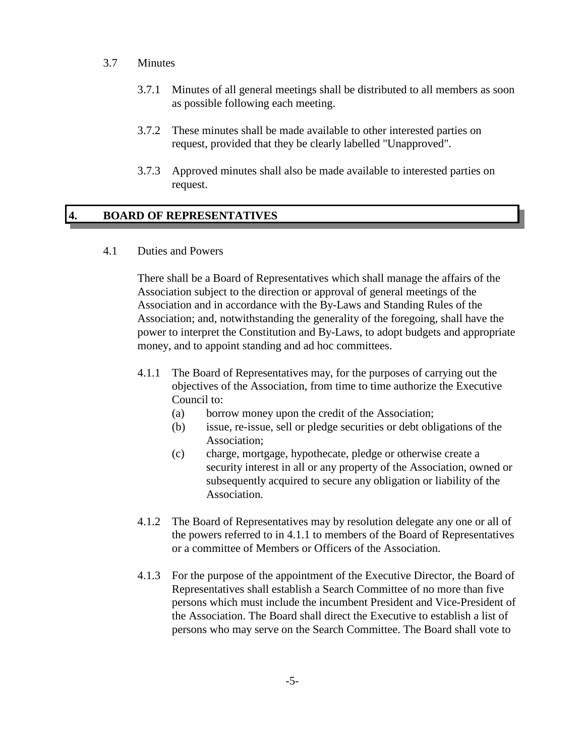- 3.7 Minutes
	- 3.7.1 Minutes of all general meetings shall be distributed to all members as soon as possible following each meeting.
	- 3.7.2 These minutes shall be made available to other interested parties on request, provided that they be clearly labelled "Unapproved".
	- 3.7.3 Approved minutes shall also be made available to interested parties on request.

# **4. BOARD OF REPRESENTATIVES**

4.1 Duties and Powers

There shall be a Board of Representatives which shall manage the affairs of the Association subject to the direction or approval of general meetings of the Association and in accordance with the By-Laws and Standing Rules of the Association; and, notwithstanding the generality of the foregoing, shall have the power to interpret the Constitution and By-Laws, to adopt budgets and appropriate money, and to appoint standing and ad hoc committees.

- 4.1.1 The Board of Representatives may, for the purposes of carrying out the objectives of the Association, from time to time authorize the Executive Council to:
	- (a) borrow money upon the credit of the Association;
	- (b) issue, re-issue, sell or pledge securities or debt obligations of the Association;
	- (c) charge, mortgage, hypothecate, pledge or otherwise create a security interest in all or any property of the Association, owned or subsequently acquired to secure any obligation or liability of the Association.
- 4.1.2 The Board of Representatives may by resolution delegate any one or all of the powers referred to in 4.1.1 to members of the Board of Representatives or a committee of Members or Officers of the Association.
- 4.1.3 For the purpose of the appointment of the Executive Director, the Board of Representatives shall establish a Search Committee of no more than five persons which must include the incumbent President and Vice-President of the Association. The Board shall direct the Executive to establish a list of persons who may serve on the Search Committee. The Board shall vote to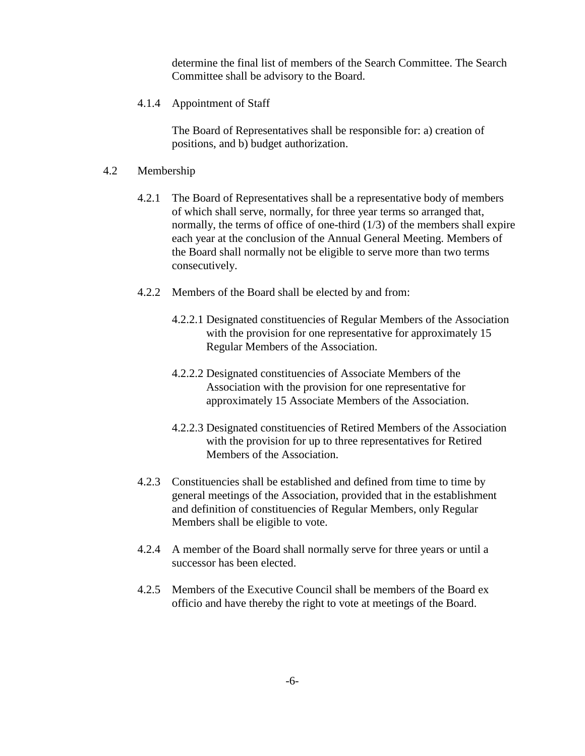determine the final list of members of the Search Committee. The Search Committee shall be advisory to the Board.

4.1.4 Appointment of Staff

The Board of Representatives shall be responsible for: a) creation of positions, and b) budget authorization.

#### 4.2 Membership

- 4.2.1 The Board of Representatives shall be a representative body of members of which shall serve, normally, for three year terms so arranged that, normally, the terms of office of one-third (1/3) of the members shall expire each year at the conclusion of the Annual General Meeting. Members of the Board shall normally not be eligible to serve more than two terms consecutively.
- 4.2.2 Members of the Board shall be elected by and from:
	- 4.2.2.1 Designated constituencies of Regular Members of the Association with the provision for one representative for approximately 15 Regular Members of the Association.
	- 4.2.2.2 Designated constituencies of Associate Members of the Association with the provision for one representative for approximately 15 Associate Members of the Association.
	- 4.2.2.3 Designated constituencies of Retired Members of the Association with the provision for up to three representatives for Retired Members of the Association.
- 4.2.3 Constituencies shall be established and defined from time to time by general meetings of the Association, provided that in the establishment and definition of constituencies of Regular Members, only Regular Members shall be eligible to vote.
- 4.2.4 A member of the Board shall normally serve for three years or until a successor has been elected.
- 4.2.5 Members of the Executive Council shall be members of the Board ex officio and have thereby the right to vote at meetings of the Board.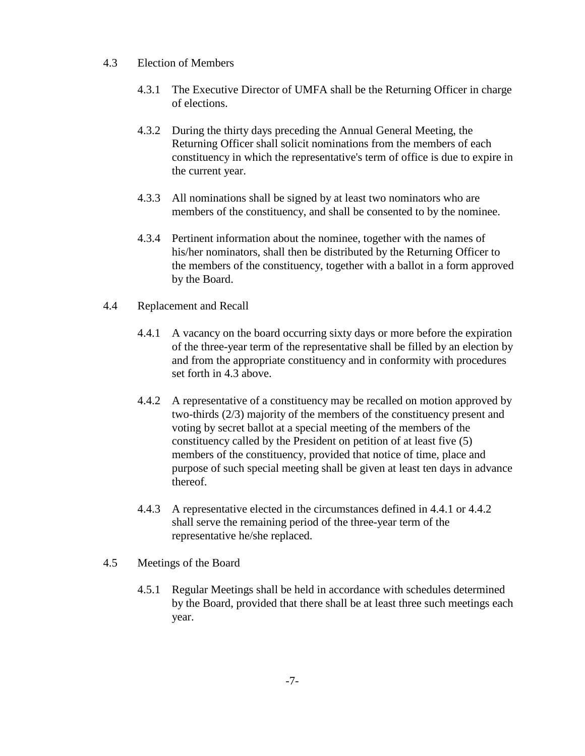- 4.3 Election of Members
	- 4.3.1 The Executive Director of UMFA shall be the Returning Officer in charge of elections.
	- 4.3.2 During the thirty days preceding the Annual General Meeting, the Returning Officer shall solicit nominations from the members of each constituency in which the representative's term of office is due to expire in the current year.
	- 4.3.3 All nominations shall be signed by at least two nominators who are members of the constituency, and shall be consented to by the nominee.
	- 4.3.4 Pertinent information about the nominee, together with the names of his/her nominators, shall then be distributed by the Returning Officer to the members of the constituency, together with a ballot in a form approved by the Board.
- 4.4 Replacement and Recall
	- 4.4.1 A vacancy on the board occurring sixty days or more before the expiration of the three-year term of the representative shall be filled by an election by and from the appropriate constituency and in conformity with procedures set forth in 4.3 above.
	- 4.4.2 A representative of a constituency may be recalled on motion approved by two-thirds (2/3) majority of the members of the constituency present and voting by secret ballot at a special meeting of the members of the constituency called by the President on petition of at least five (5) members of the constituency, provided that notice of time, place and purpose of such special meeting shall be given at least ten days in advance thereof.
	- 4.4.3 A representative elected in the circumstances defined in 4.4.1 or 4.4.2 shall serve the remaining period of the three-year term of the representative he/she replaced.
- 4.5 Meetings of the Board
	- 4.5.1 Regular Meetings shall be held in accordance with schedules determined by the Board, provided that there shall be at least three such meetings each year.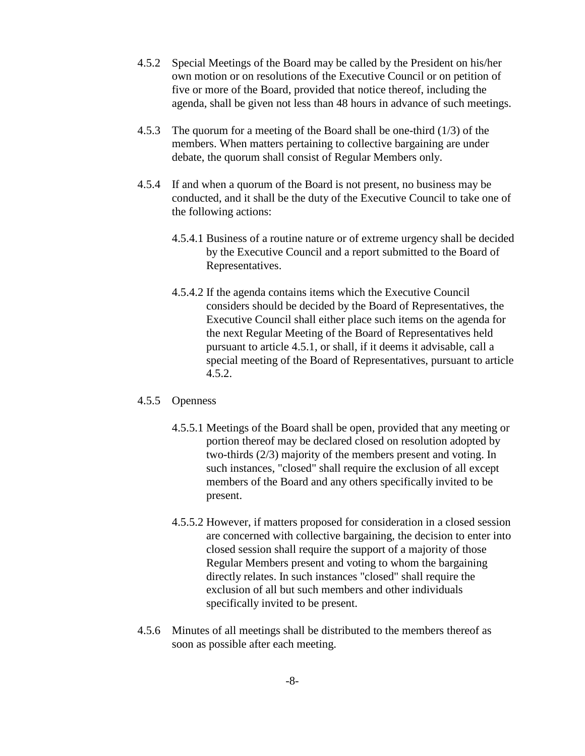- 4.5.2 Special Meetings of the Board may be called by the President on his/her own motion or on resolutions of the Executive Council or on petition of five or more of the Board, provided that notice thereof, including the agenda, shall be given not less than 48 hours in advance of such meetings.
- 4.5.3 The quorum for a meeting of the Board shall be one-third (1/3) of the members. When matters pertaining to collective bargaining are under debate, the quorum shall consist of Regular Members only.
- 4.5.4 If and when a quorum of the Board is not present, no business may be conducted, and it shall be the duty of the Executive Council to take one of the following actions:
	- 4.5.4.1 Business of a routine nature or of extreme urgency shall be decided by the Executive Council and a report submitted to the Board of Representatives.
	- 4.5.4.2 If the agenda contains items which the Executive Council considers should be decided by the Board of Representatives, the Executive Council shall either place such items on the agenda for the next Regular Meeting of the Board of Representatives held pursuant to article 4.5.1, or shall, if it deems it advisable, call a special meeting of the Board of Representatives, pursuant to article 4.5.2.

#### 4.5.5 Openness

- 4.5.5.1 Meetings of the Board shall be open, provided that any meeting or portion thereof may be declared closed on resolution adopted by two-thirds (2/3) majority of the members present and voting. In such instances, "closed" shall require the exclusion of all except members of the Board and any others specifically invited to be present.
- 4.5.5.2 However, if matters proposed for consideration in a closed session are concerned with collective bargaining, the decision to enter into closed session shall require the support of a majority of those Regular Members present and voting to whom the bargaining directly relates. In such instances "closed" shall require the exclusion of all but such members and other individuals specifically invited to be present.
- 4.5.6 Minutes of all meetings shall be distributed to the members thereof as soon as possible after each meeting.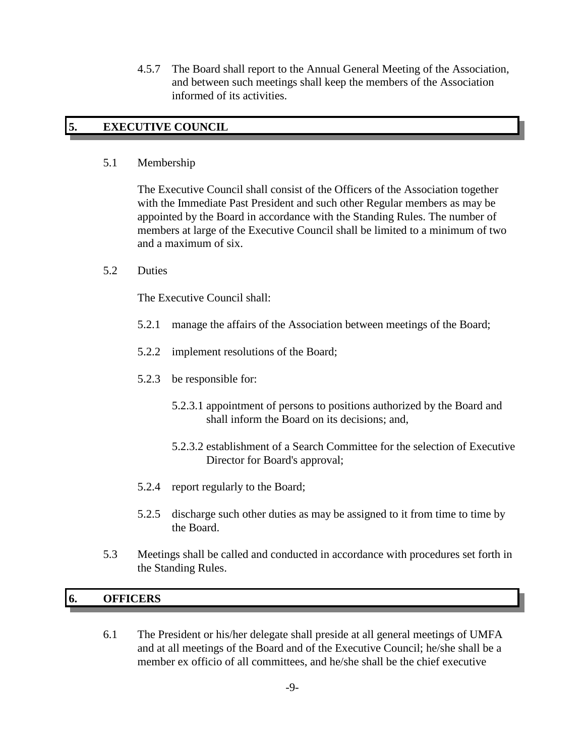4.5.7 The Board shall report to the Annual General Meeting of the Association, and between such meetings shall keep the members of the Association informed of its activities.

# **5. EXECUTIVE COUNCIL**

#### 5.1 Membership

The Executive Council shall consist of the Officers of the Association together with the Immediate Past President and such other Regular members as may be appointed by the Board in accordance with the Standing Rules. The number of members at large of the Executive Council shall be limited to a minimum of two and a maximum of six.

5.2 Duties

The Executive Council shall:

- 5.2.1 manage the affairs of the Association between meetings of the Board;
- 5.2.2 implement resolutions of the Board;
- 5.2.3 be responsible for:
	- 5.2.3.1 appointment of persons to positions authorized by the Board and shall inform the Board on its decisions; and,
	- 5.2.3.2 establishment of a Search Committee for the selection of Executive Director for Board's approval;
- 5.2.4 report regularly to the Board;
- 5.2.5 discharge such other duties as may be assigned to it from time to time by the Board.
- 5.3 Meetings shall be called and conducted in accordance with procedures set forth in the Standing Rules.

# **6. OFFICERS**

6.1 The President or his/her delegate shall preside at all general meetings of UMFA and at all meetings of the Board and of the Executive Council; he/she shall be a member ex officio of all committees, and he/she shall be the chief executive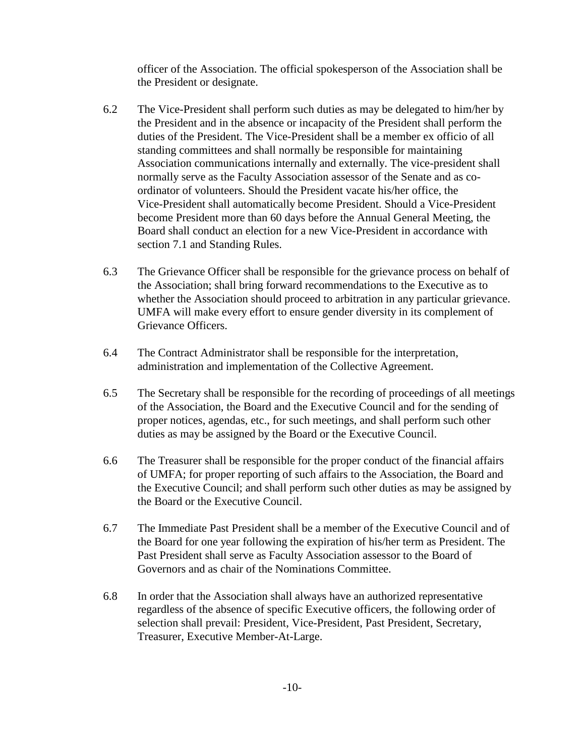officer of the Association. The official spokesperson of the Association shall be the President or designate.

- 6.2 The Vice-President shall perform such duties as may be delegated to him/her by the President and in the absence or incapacity of the President shall perform the duties of the President. The Vice-President shall be a member ex officio of all standing committees and shall normally be responsible for maintaining Association communications internally and externally. The vice-president shall normally serve as the Faculty Association assessor of the Senate and as coordinator of volunteers. Should the President vacate his/her office, the Vice-President shall automatically become President. Should a Vice-President become President more than 60 days before the Annual General Meeting, the Board shall conduct an election for a new Vice-President in accordance with section 7.1 and Standing Rules.
- 6.3 The Grievance Officer shall be responsible for the grievance process on behalf of the Association; shall bring forward recommendations to the Executive as to whether the Association should proceed to arbitration in any particular grievance. UMFA will make every effort to ensure gender diversity in its complement of Grievance Officers.
- 6.4 The Contract Administrator shall be responsible for the interpretation, administration and implementation of the Collective Agreement.
- 6.5 The Secretary shall be responsible for the recording of proceedings of all meetings of the Association, the Board and the Executive Council and for the sending of proper notices, agendas, etc., for such meetings, and shall perform such other duties as may be assigned by the Board or the Executive Council.
- 6.6 The Treasurer shall be responsible for the proper conduct of the financial affairs of UMFA; for proper reporting of such affairs to the Association, the Board and the Executive Council; and shall perform such other duties as may be assigned by the Board or the Executive Council.
- 6.7 The Immediate Past President shall be a member of the Executive Council and of the Board for one year following the expiration of his/her term as President. The Past President shall serve as Faculty Association assessor to the Board of Governors and as chair of the Nominations Committee.
- 6.8 In order that the Association shall always have an authorized representative regardless of the absence of specific Executive officers, the following order of selection shall prevail: President, Vice-President, Past President, Secretary, Treasurer, Executive Member-At-Large.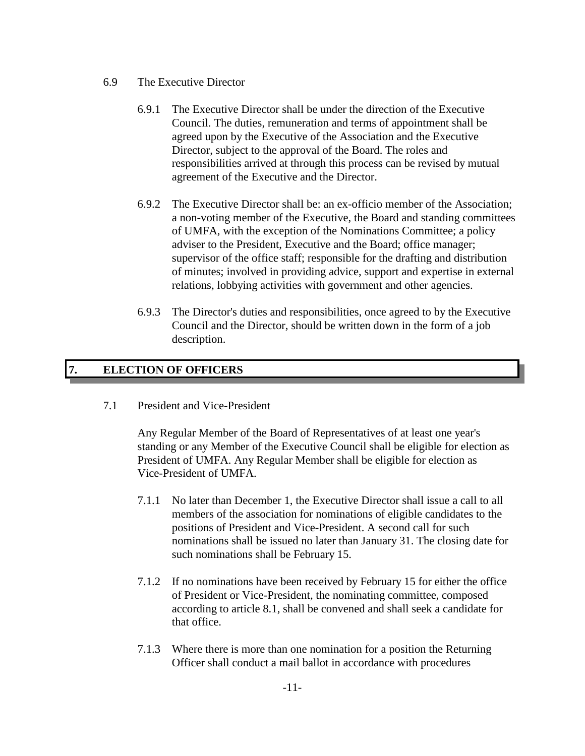- 6.9 The Executive Director
	- 6.9.1 The Executive Director shall be under the direction of the Executive Council. The duties, remuneration and terms of appointment shall be agreed upon by the Executive of the Association and the Executive Director, subject to the approval of the Board. The roles and responsibilities arrived at through this process can be revised by mutual agreement of the Executive and the Director.
	- 6.9.2 The Executive Director shall be: an ex-officio member of the Association; a non-voting member of the Executive, the Board and standing committees of UMFA, with the exception of the Nominations Committee; a policy adviser to the President, Executive and the Board; office manager; supervisor of the office staff; responsible for the drafting and distribution of minutes; involved in providing advice, support and expertise in external relations, lobbying activities with government and other agencies.
	- 6.9.3 The Director's duties and responsibilities, once agreed to by the Executive Council and the Director, should be written down in the form of a job description.

# **7. ELECTION OF OFFICERS**

7.1 President and Vice-President

Any Regular Member of the Board of Representatives of at least one year's standing or any Member of the Executive Council shall be eligible for election as President of UMFA. Any Regular Member shall be eligible for election as Vice-President of UMFA.

- 7.1.1 No later than December 1, the Executive Director shall issue a call to all members of the association for nominations of eligible candidates to the positions of President and Vice-President. A second call for such nominations shall be issued no later than January 31. The closing date for such nominations shall be February 15.
- 7.1.2 If no nominations have been received by February 15 for either the office of President or Vice-President, the nominating committee, composed according to article 8.1, shall be convened and shall seek a candidate for that office.
- 7.1.3 Where there is more than one nomination for a position the Returning Officer shall conduct a mail ballot in accordance with procedures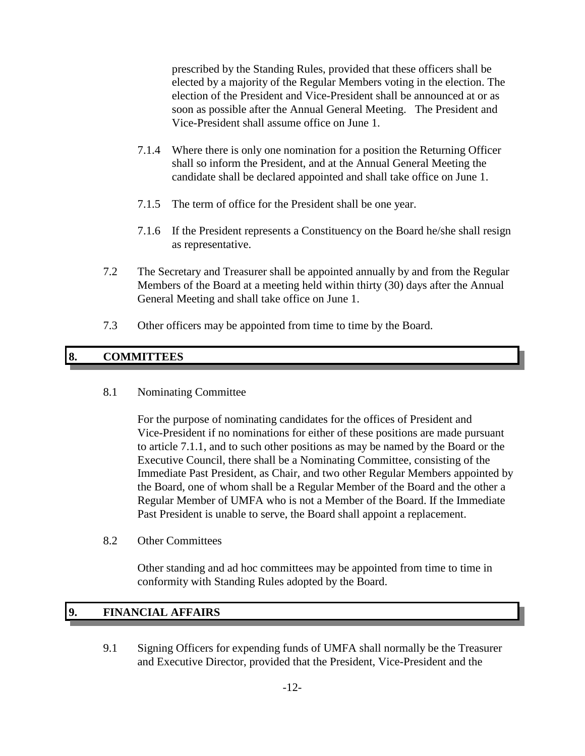prescribed by the Standing Rules, provided that these officers shall be elected by a majority of the Regular Members voting in the election. The election of the President and Vice-President shall be announced at or as soon as possible after the Annual General Meeting. The President and Vice-President shall assume office on June 1.

- 7.1.4 Where there is only one nomination for a position the Returning Officer shall so inform the President, and at the Annual General Meeting the candidate shall be declared appointed and shall take office on June 1.
- 7.1.5 The term of office for the President shall be one year.
- 7.1.6 If the President represents a Constituency on the Board he/she shall resign as representative.
- 7.2 The Secretary and Treasurer shall be appointed annually by and from the Regular Members of the Board at a meeting held within thirty (30) days after the Annual General Meeting and shall take office on June 1.
- 7.3 Other officers may be appointed from time to time by the Board.

# **8. COMMITTEES**

#### 8.1 Nominating Committee

For the purpose of nominating candidates for the offices of President and Vice-President if no nominations for either of these positions are made pursuant to article 7.1.1, and to such other positions as may be named by the Board or the Executive Council, there shall be a Nominating Committee, consisting of the Immediate Past President, as Chair, and two other Regular Members appointed by the Board, one of whom shall be a Regular Member of the Board and the other a Regular Member of UMFA who is not a Member of the Board. If the Immediate Past President is unable to serve, the Board shall appoint a replacement.

8.2 Other Committees

Other standing and ad hoc committees may be appointed from time to time in conformity with Standing Rules adopted by the Board.

# **9. FINANCIAL AFFAIRS**

9.1 Signing Officers for expending funds of UMFA shall normally be the Treasurer and Executive Director, provided that the President, Vice-President and the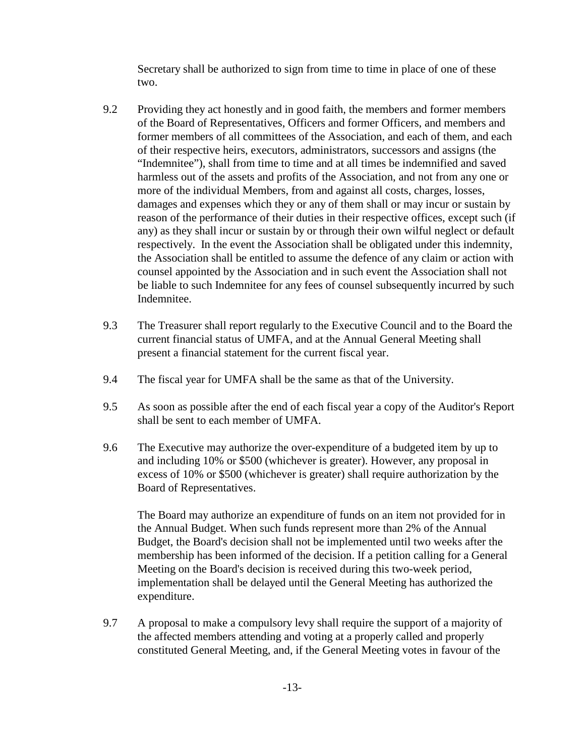Secretary shall be authorized to sign from time to time in place of one of these two.

- 9.2 Providing they act honestly and in good faith, the members and former members of the Board of Representatives, Officers and former Officers, and members and former members of all committees of the Association, and each of them, and each of their respective heirs, executors, administrators, successors and assigns (the "Indemnitee"), shall from time to time and at all times be indemnified and saved harmless out of the assets and profits of the Association, and not from any one or more of the individual Members, from and against all costs, charges, losses, damages and expenses which they or any of them shall or may incur or sustain by reason of the performance of their duties in their respective offices, except such (if any) as they shall incur or sustain by or through their own wilful neglect or default respectively. In the event the Association shall be obligated under this indemnity, the Association shall be entitled to assume the defence of any claim or action with counsel appointed by the Association and in such event the Association shall not be liable to such Indemnitee for any fees of counsel subsequently incurred by such Indemnitee.
- 9.3 The Treasurer shall report regularly to the Executive Council and to the Board the current financial status of UMFA, and at the Annual General Meeting shall present a financial statement for the current fiscal year.
- 9.4 The fiscal year for UMFA shall be the same as that of the University.
- 9.5 As soon as possible after the end of each fiscal year a copy of the Auditor's Report shall be sent to each member of UMFA.
- 9.6 The Executive may authorize the over-expenditure of a budgeted item by up to and including 10% or \$500 (whichever is greater). However, any proposal in excess of 10% or \$500 (whichever is greater) shall require authorization by the Board of Representatives.

The Board may authorize an expenditure of funds on an item not provided for in the Annual Budget. When such funds represent more than 2% of the Annual Budget, the Board's decision shall not be implemented until two weeks after the membership has been informed of the decision. If a petition calling for a General Meeting on the Board's decision is received during this two-week period, implementation shall be delayed until the General Meeting has authorized the expenditure.

9.7 A proposal to make a compulsory levy shall require the support of a majority of the affected members attending and voting at a properly called and properly constituted General Meeting, and, if the General Meeting votes in favour of the